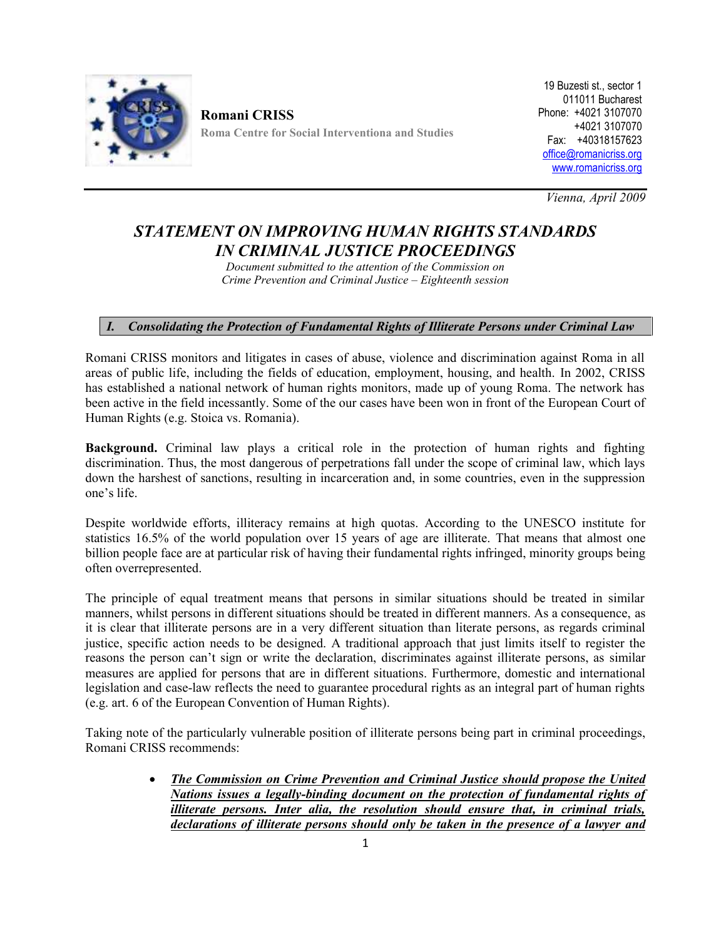

**Romani CRISS Roma Centre for Social Interventiona and Studies**

19 Buzesti st., sector 1 011011 Bucharest Phone: +4021 3107070 +4021 3107070 Fax: +40318157623 office@romanicriss.org www.romanicriss.org

*Vienna, April 2009*

## *STATEMENT ON IMPROVING HUMAN RIGHTS STANDARDS IN CRIMINAL JUSTICE PROCEEDINGS*

*Document submitted to the attention of the Commission on Crime Prevention and Criminal Justice – Eighteenth session*

## *I. Consolidating the Protection of Fundamental Rights of Illiterate Persons under Criminal Law*

Romani CRISS monitors and litigates in cases of abuse, violence and discrimination against Roma in all areas of public life, including the fields of education, employment, housing, and health. In 2002, CRISS has established a national network of human rights monitors, made up of young Roma. The network has been active in the field incessantly. Some of the our cases have been won in front of the European Court of Human Rights (e.g. Stoica vs. Romania).

**Background.** Criminal law plays a critical role in the protection of human rights and fighting discrimination. Thus, the most dangerous of perpetrations fall under the scope of criminal law, which lays down the harshest of sanctions, resulting in incarceration and, in some countries, even in the suppression one's life.

Despite worldwide efforts, illiteracy remains at high quotas. According to the UNESCO institute for statistics 16.5% of the world population over 15 years of age are illiterate. That means that almost one billion people face are at particular risk of having their fundamental rights infringed, minority groups being often overrepresented.

The principle of equal treatment means that persons in similar situations should be treated in similar manners, whilst persons in different situations should be treated in different manners. As a consequence, as it is clear that illiterate persons are in a very different situation than literate persons, as regards criminal justice, specific action needs to be designed. A traditional approach that just limits itself to register the reasons the person can't sign or write the declaration, discriminates against illiterate persons, as similar measures are applied for persons that are in different situations. Furthermore, domestic and international legislation and case-law reflects the need to guarantee procedural rights as an integral part of human rights (e.g. art. 6 of the European Convention of Human Rights).

Taking note of the particularly vulnerable position of illiterate persons being part in criminal proceedings, Romani CRISS recommends:

> *The Commission on Crime Prevention and Criminal Justice should propose the United Nations issues a legally-binding document on the protection of fundamental rights of illiterate persons. Inter alia, the resolution should ensure that, in criminal trials, declarations of illiterate persons should only be taken in the presence of a lawyer and*